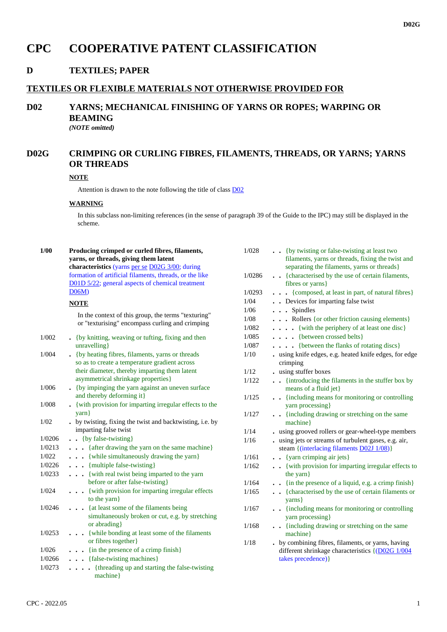# **CPC COOPERATIVE PATENT CLASSIFICATION**

### **D TEXTILES; PAPER**

#### **TEXTILES OR FLEXIBLE MATERIALS NOT OTHERWISE PROVIDED FOR**

### **D02 YARNS; MECHANICAL FINISHING OF YARNS OR ROPES; WARPING OR BEAMING** *(NOTE omitted)*

## **D02G CRIMPING OR CURLING FIBRES, FILAMENTS, THREADS, OR YARNS; YARNS OR THREADS**

#### **NOTE**

Attention is drawn to the note following the title of class D02

#### **WARNING**

In this subclass non-limiting references (in the sense of paragraph 39 of the Guide to the IPC) may still be displayed in the scheme.

| 1/00    | Producing crimped or curled fibres, filaments,<br>yarns, or threads, giving them latent<br>characteristics (yarns per se D02G 3/00; during | 1/028          | . . {by twisting or false-twisting at least two<br>filaments, yarns or threads, fixing the twist and<br>separating the filaments, yarns or threads} |
|---------|--------------------------------------------------------------------------------------------------------------------------------------------|----------------|-----------------------------------------------------------------------------------------------------------------------------------------------------|
|         | formation of artificial filaments, threads, or the like<br>D01D 5/22; general aspects of chemical treatment                                | 1/0286         | . {characterised by the use of certain filaments,<br>fibres or yarns}                                                                               |
|         | D06M                                                                                                                                       | 1/0293<br>1/04 | {composed, at least in part, of natural fibres}                                                                                                     |
|         | <b>NOTE</b>                                                                                                                                |                | . . Devices for imparting false twist                                                                                                               |
|         |                                                                                                                                            | 1/06           | . Spindles                                                                                                                                          |
|         | In the context of this group, the terms "texturing"<br>or "texturising" encompass curling and crimping                                     | 1/08           | Rollers {or other friction causing elements}                                                                                                        |
|         |                                                                                                                                            | 1/082          | . {with the periphery of at least one disc}                                                                                                         |
| 1/002   | • {by knitting, weaving or tufting, fixing and then                                                                                        | 1/085          | {between crossed belts}                                                                                                                             |
|         | unravelling}                                                                                                                               | 1/087          | . {between the flanks of rotating discs}                                                                                                            |
| 1/004   | • {by heating fibres, filaments, yarns or threads                                                                                          | $1/10$         | . using knife edges, e.g. heated knife edges, for edge                                                                                              |
|         | so as to create a temperature gradient across                                                                                              |                | crimping                                                                                                                                            |
|         | their diameter, thereby imparting them latent                                                                                              | $1/12$         | . using stuffer boxes                                                                                                                               |
| 1/006   | asymmetrical shrinkage properties}<br>• {by impinging the yarn against an uneven surface                                                   | 1/122          | {introducing the filaments in the stuffer box by<br>means of a fluid jet}                                                                           |
|         | and thereby deforming it}                                                                                                                  | 1/125          | . {including means for monitoring or controlling                                                                                                    |
| $1/008$ | • {with provision for imparting irregular effects to the                                                                                   |                | yarn processing}                                                                                                                                    |
|         | $\{ \$ {varn} \}                                                                                                                           | 1/127          | . {including drawing or stretching on the same                                                                                                      |
| $1/02$  | . by twisting, fixing the twist and backtwisting, i.e. by                                                                                  |                | machine                                                                                                                                             |
|         | imparting false twist                                                                                                                      | 1/14           | . using grooved rollers or gear-wheel-type members                                                                                                  |
| 1/0206  | $\bullet$ $\bullet$ {by false-twisting}                                                                                                    | 1/16           | using jets or streams of turbulent gases, e.g. air,                                                                                                 |
| 1/0213  | . {after drawing the yarn on the same machine}                                                                                             |                | steam {(interlacing filaments D02J 1/08)}                                                                                                           |
| 1/022   | . {while simultaneously drawing the yarn}                                                                                                  | 1/161          | . . {yarn crimping air jets}                                                                                                                        |
| 1/0226  | {multiple false-twisting}                                                                                                                  | 1/162          | . . {with provision for imparting irregular effects to                                                                                              |
| 1/0233  | . {with real twist being imparted to the yarn                                                                                              |                | the yarn}                                                                                                                                           |
|         | before or after false-twisting}                                                                                                            | 1/164          | . . {in the presence of a liquid, e.g. a crimp finish}                                                                                              |
| 1/024   | . {with provision for imparting irregular effects<br>to the yarn}                                                                          | 1/165          | {characterised by the use of certain filaments or<br>yarns }                                                                                        |
| 1/0246  | . {at least some of the filaments being                                                                                                    | 1/167          | {including means for monitoring or controlling                                                                                                      |
|         | simultaneously broken or cut, e.g. by stretching<br>or abrading}                                                                           |                | yarn processing}                                                                                                                                    |
| 1/0253  | . {while bonding at least some of the filaments                                                                                            | 1/168          | . {including drawing or stretching on the same<br>machine }                                                                                         |
|         | or fibres together}                                                                                                                        | $1/18$         | . by combining fibres, filaments, or yarns, having                                                                                                  |
| 1/026   | . {in the presence of a crimp finish}                                                                                                      |                | different shrinkage characteristics {(D02G 1/004                                                                                                    |
| 1/0266  | . {false-twisting machines}                                                                                                                |                | takes precedence) }                                                                                                                                 |
| 1/0273  | . {threading up and starting the false-twisting<br>machine}                                                                                |                |                                                                                                                                                     |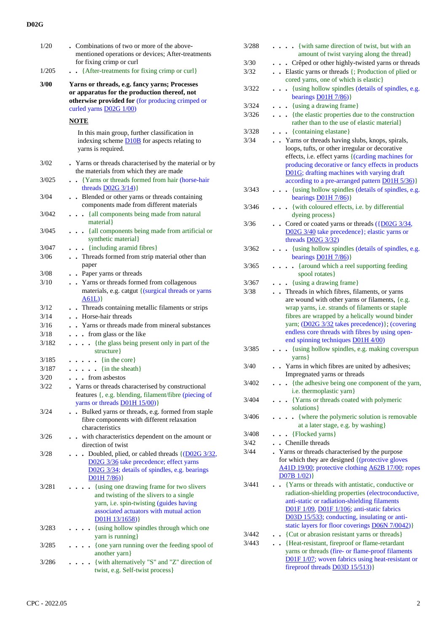### **D02G**

| . . {After-treatments for fixing crimp or curl}<br>Yarns or threads, e.g. fancy yarns; Processes<br>or apparatus for the production thereof, not<br>otherwise provided for (for producing crimped or<br>In this main group, further classification in<br>indexing scheme <b>D10B</b> for aspects relating to<br>. Yarns or threads characterised by the material or by<br>the materials from which they are made<br>{Yarns or threads formed from hair (horse-hair<br>Blended or other yarns or threads containing<br>components made from different materials<br>. {all components being made from natural<br>. . {all components being made from artificial or<br>. {including aramid fibres}<br>. Threads formed from strip material other than |
|----------------------------------------------------------------------------------------------------------------------------------------------------------------------------------------------------------------------------------------------------------------------------------------------------------------------------------------------------------------------------------------------------------------------------------------------------------------------------------------------------------------------------------------------------------------------------------------------------------------------------------------------------------------------------------------------------------------------------------------------------|
|                                                                                                                                                                                                                                                                                                                                                                                                                                                                                                                                                                                                                                                                                                                                                    |
|                                                                                                                                                                                                                                                                                                                                                                                                                                                                                                                                                                                                                                                                                                                                                    |
|                                                                                                                                                                                                                                                                                                                                                                                                                                                                                                                                                                                                                                                                                                                                                    |
|                                                                                                                                                                                                                                                                                                                                                                                                                                                                                                                                                                                                                                                                                                                                                    |
|                                                                                                                                                                                                                                                                                                                                                                                                                                                                                                                                                                                                                                                                                                                                                    |
|                                                                                                                                                                                                                                                                                                                                                                                                                                                                                                                                                                                                                                                                                                                                                    |
|                                                                                                                                                                                                                                                                                                                                                                                                                                                                                                                                                                                                                                                                                                                                                    |
|                                                                                                                                                                                                                                                                                                                                                                                                                                                                                                                                                                                                                                                                                                                                                    |
|                                                                                                                                                                                                                                                                                                                                                                                                                                                                                                                                                                                                                                                                                                                                                    |
|                                                                                                                                                                                                                                                                                                                                                                                                                                                                                                                                                                                                                                                                                                                                                    |
|                                                                                                                                                                                                                                                                                                                                                                                                                                                                                                                                                                                                                                                                                                                                                    |
|                                                                                                                                                                                                                                                                                                                                                                                                                                                                                                                                                                                                                                                                                                                                                    |
| • Yarns or threads formed from collagenous<br>materials, e.g. catgut { (surgical threads or yarns                                                                                                                                                                                                                                                                                                                                                                                                                                                                                                                                                                                                                                                  |
| • Threads containing metallic filaments or strips                                                                                                                                                                                                                                                                                                                                                                                                                                                                                                                                                                                                                                                                                                  |
|                                                                                                                                                                                                                                                                                                                                                                                                                                                                                                                                                                                                                                                                                                                                                    |
| . Yarns or threads made from mineral substances                                                                                                                                                                                                                                                                                                                                                                                                                                                                                                                                                                                                                                                                                                    |
|                                                                                                                                                                                                                                                                                                                                                                                                                                                                                                                                                                                                                                                                                                                                                    |
| . {the glass being present only in part of the                                                                                                                                                                                                                                                                                                                                                                                                                                                                                                                                                                                                                                                                                                     |
|                                                                                                                                                                                                                                                                                                                                                                                                                                                                                                                                                                                                                                                                                                                                                    |
|                                                                                                                                                                                                                                                                                                                                                                                                                                                                                                                                                                                                                                                                                                                                                    |
|                                                                                                                                                                                                                                                                                                                                                                                                                                                                                                                                                                                                                                                                                                                                                    |
| Yarns or threads characterised by constructional<br>features {, e.g. blending, filament/fibre (piecing of<br>yarns or threads <b>D01H 15/00</b> )}                                                                                                                                                                                                                                                                                                                                                                                                                                                                                                                                                                                                 |
| Bulked yarns or threads, e.g. formed from staple<br>fibre components with different relaxation                                                                                                                                                                                                                                                                                                                                                                                                                                                                                                                                                                                                                                                     |
| . with characteristics dependent on the amount or                                                                                                                                                                                                                                                                                                                                                                                                                                                                                                                                                                                                                                                                                                  |
| Doubled, plied, or cabled threads {(D02G 3/32,<br>D02G 3/36 take precedence; effect yarns<br>D02G 3/34; details of spindles, e.g. bearings                                                                                                                                                                                                                                                                                                                                                                                                                                                                                                                                                                                                         |
| {using one drawing frame for two slivers<br>and twisting of the slivers to a single<br>yarn, i.e. spin-twisting (guides having<br>associated actuators with mutual action                                                                                                                                                                                                                                                                                                                                                                                                                                                                                                                                                                          |
| {using hollow spindles through which one                                                                                                                                                                                                                                                                                                                                                                                                                                                                                                                                                                                                                                                                                                           |
| {one yarn running over the feeding spool of                                                                                                                                                                                                                                                                                                                                                                                                                                                                                                                                                                                                                                                                                                        |
| {with alternatively "S" and "Z" direction of<br>twist, e.g. Self-twist process}                                                                                                                                                                                                                                                                                                                                                                                                                                                                                                                                                                                                                                                                    |
|                                                                                                                                                                                                                                                                                                                                                                                                                                                                                                                                                                                                                                                                                                                                                    |

| 3/288         | . {with same direction of twist, but with an<br>amount of twist varying along the thread}                                                                                                                                                                                                                                                      |
|---------------|------------------------------------------------------------------------------------------------------------------------------------------------------------------------------------------------------------------------------------------------------------------------------------------------------------------------------------------------|
| 3/30          | Crêped or other highly-twisted yarns or threads                                                                                                                                                                                                                                                                                                |
| 3/32          | . Elastic yarns or threads {; Production of plied or                                                                                                                                                                                                                                                                                           |
|               | cored yarns, one of which is elastic}                                                                                                                                                                                                                                                                                                          |
| 3/322         | {using hollow spindles (details of spindles, e.g.<br>bearings D01H 7/86)}                                                                                                                                                                                                                                                                      |
| 3/324         | {using a drawing frame}                                                                                                                                                                                                                                                                                                                        |
| 3/326         | {the elastic properties due to the construction                                                                                                                                                                                                                                                                                                |
|               | rather than to the use of elastic material}                                                                                                                                                                                                                                                                                                    |
| 3/328<br>3/34 | • {containing elastane}<br>. Yarns or threads having slubs, knops, spirals,                                                                                                                                                                                                                                                                    |
|               | loops, tufts, or other irregular or decorative<br>effects, i.e. effect yarns {(carding machines for<br>producing decorative or fancy effects in products<br>D01G; drafting machines with varying draft<br>according to a pre-arranged pattern D01H 5/36)}                                                                                      |
| 3/343         | {using hollow spindles (details of spindles, e.g.<br>bearings $D01H 7/86$ )                                                                                                                                                                                                                                                                    |
| 3/346         | {with coloured effects, i.e. by differential                                                                                                                                                                                                                                                                                                   |
|               | dyeing process}<br>• Cored or coated yarns or threads $(\overline{D02G3/34},$                                                                                                                                                                                                                                                                  |
| 3/36          | D02G 3/40 take precedence}; elastic yarns or<br>threads $D02G$ $3/32$ )                                                                                                                                                                                                                                                                        |
| 3/362         | - {using hollow spindles (details of spindles, e.g.                                                                                                                                                                                                                                                                                            |
|               | bearings D01H 7/86)}                                                                                                                                                                                                                                                                                                                           |
| 3/365         | {around which a reel supporting feeding<br>$\ddot{\phantom{a}}$<br>spool rotates}                                                                                                                                                                                                                                                              |
| 3/367         | {using a drawing frame}                                                                                                                                                                                                                                                                                                                        |
| 3/38          | Threads in which fibres, filaments, or yarns<br>are wound with other yarns or filaments, {e.g.<br>wrap yarns, i.e. strands of filaments or staple<br>fibres are wrapped by a helically wound binder<br>yarn; (D02G 3/32 takes precedence)}; (covering<br>endless core threads with fibres by using open-<br>end spinning techniques D01H 4/00) |
| 3/385         | {using hollow spindles, e.g. making coverspun<br>$\{vars\}$                                                                                                                                                                                                                                                                                    |
| 3/40          | Yarns in which fibres are united by adhesives;                                                                                                                                                                                                                                                                                                 |
|               | Impregnated yarns or threads                                                                                                                                                                                                                                                                                                                   |
| 3/402         | {the adhesive being one component of the yarn,                                                                                                                                                                                                                                                                                                 |
|               | i.e. thermoplastic yarn}                                                                                                                                                                                                                                                                                                                       |
| 3/404         | {Yarns or threads coated with polymeric<br>$\ddot{\phantom{0}}$<br>solutions }                                                                                                                                                                                                                                                                 |
| 3/406         | {where the polymeric solution is removable                                                                                                                                                                                                                                                                                                     |
| 3/408         | at a later stage, e.g. by washing}<br>{Flocked yarns}                                                                                                                                                                                                                                                                                          |
| 3/42          | . Chenille threads                                                                                                                                                                                                                                                                                                                             |
| 3/44          | Yarns or threads characterised by the purpose                                                                                                                                                                                                                                                                                                  |
|               | for which they are designed {(protective gloves<br>A41D 19/00; protective clothing A62B 17/00; ropes<br>$D07B$ 1/02)}                                                                                                                                                                                                                          |
| 3/441         | {Yarns or threads with antistatic, conductive or                                                                                                                                                                                                                                                                                               |
|               | radiation-shielding properties (electroconductive,<br>anti-static or radiation-shielding filaments<br>D01F 1/09, D01F 1/106; anti-static fabrics<br>D03D 15/533; conducting, insulating or anti-<br>static layers for floor coverings D06N 7/0042)}                                                                                            |
| 3/442         | • {Cut or abrasion resistant yarns or threads}                                                                                                                                                                                                                                                                                                 |
| 3/443         | {Heat-resistant, fireproof or flame-retardant<br>yarns or threads (fire- or flame-proof filaments                                                                                                                                                                                                                                              |
|               | D01F 1/07; woven fabrics using heat-resistant or                                                                                                                                                                                                                                                                                               |
|               | fireproof threads D03D 15/513)}                                                                                                                                                                                                                                                                                                                |